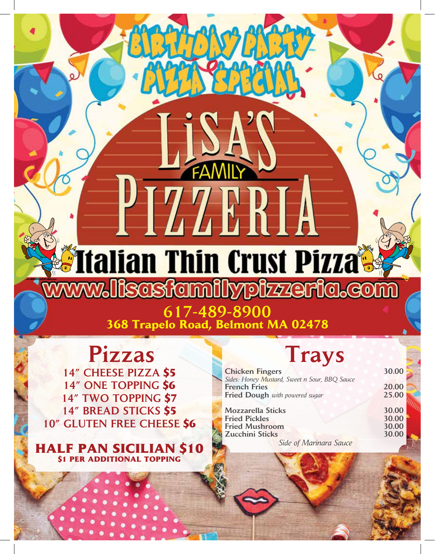# **Transferred States of the Conceptual States and States and States and States and States and States and States and States and States and States and States and States and States and States and States and States and States a iscsfamilypizzeria.co**

617-489-8900 **368 Trapelo Road, Belmont MA 02478**

## Pizzas Trays

14" CHEESE PIZZA **\$5** 14" ONE TOPPING **\$6** 14" TWO TOPPING **\$7** 14" BREAD STICKS **\$5**  10" GLUTEN FREE CHEESE **\$6**

**F PAN SICILIAN S10 ER ADDITIONAL TOPPING** 

| <b>Chicken Fingers</b>                        | 30.00 |
|-----------------------------------------------|-------|
| Sides: Honey Mustard, Sweet n Sour, BBQ Sauce |       |
| <b>French Fries</b>                           | 20.00 |
| Fried Dough with powered sugar                | 25.00 |
| <b>Mozzarella Sticks</b>                      | 30.00 |
| <b>Fried Pickles</b>                          | 30.00 |
| <b>Fried Mushroom</b>                         | 30.00 |
| <b>Zucchini Sticks</b>                        | 30.00 |
| $C:1 \quad C M$ $C$                           |       |

*Side of Marinara Sauce*